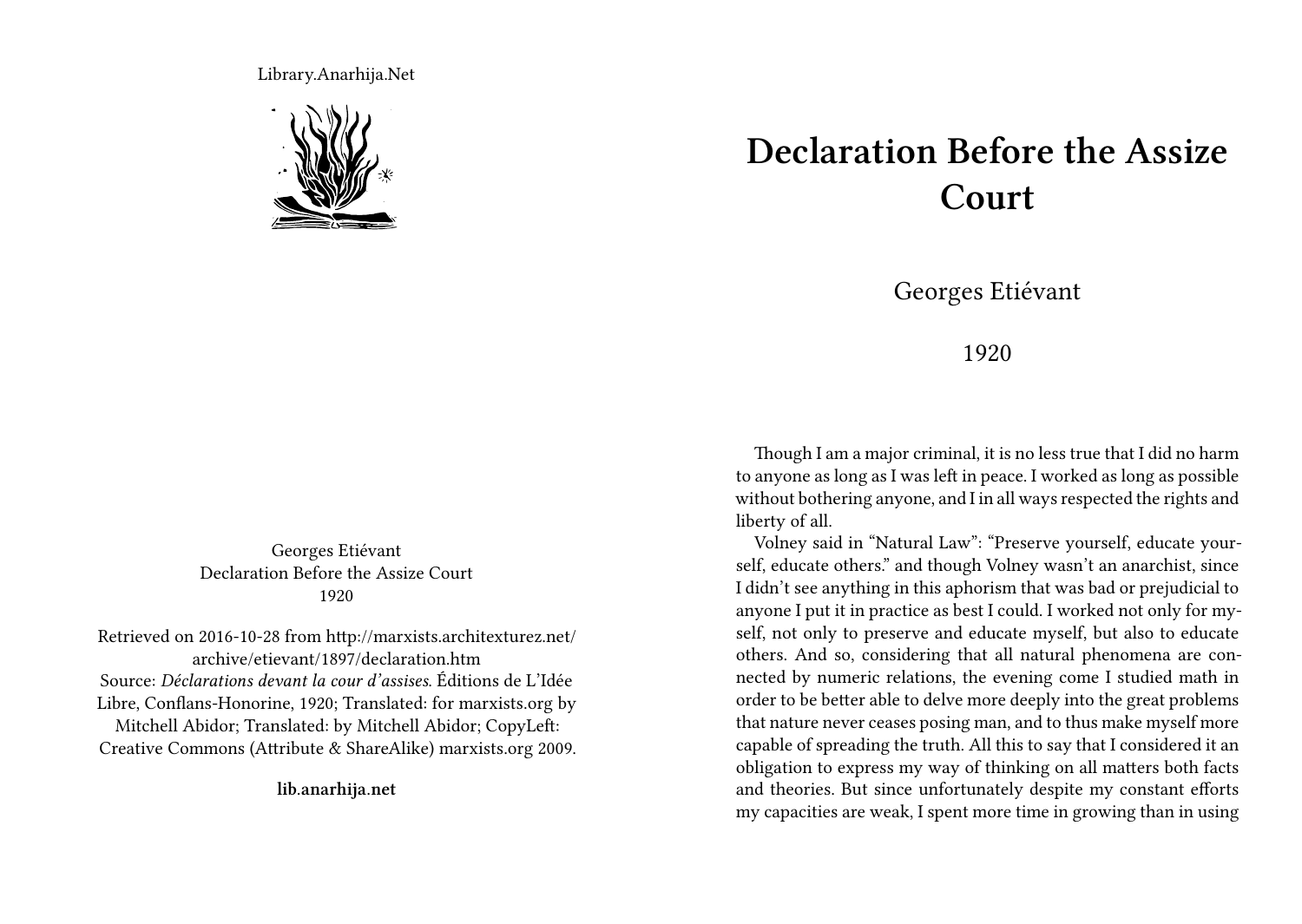Library.Anarhija.Net



Georges Etiévant Declaration Before the Assize Court 1920

Retrieved on 2016-10-28 from http://marxists.architexturez.net/ archive/etievant/1897/declaration.htm Source: *Déclarations devant la cour d'assises*. Éditions de L'Idée Libre, Conflans-Honorine, 1920; Translated: for marxists.org by Mitchell Abidor; Translated: by Mitchell Abidor; CopyLeft: Creative Commons (Attribute & ShareAlike) marxists.org 2009.

**lib.anarhija.net**

## **Declaration Before the Assize Court**

Georges Etiévant

## 1920

Though I am a major criminal, it is no less true that I did no harm to anyone as long as I was left in peace. I worked as long as possible without bothering anyone, and I in all ways respected the rights and liberty of all.

Volney said in "Natural Law": "Preserve yourself, educate yourself, educate others." and though Volney wasn't an anarchist, since I didn't see anything in this aphorism that was bad or prejudicial to anyone I put it in practice as best I could. I worked not only for myself, not only to preserve and educate myself, but also to educate others. And so, considering that all natural phenomena are connected by numeric relations, the evening come I studied math in order to be better able to delve more deeply into the great problems that nature never ceases posing man, and to thus make myself more capable of spreading the truth. All this to say that I considered it an obligation to express my way of thinking on all matters both facts and theories. But since unfortunately despite my constant efforts my capacities are weak, I spent more time in growing than in using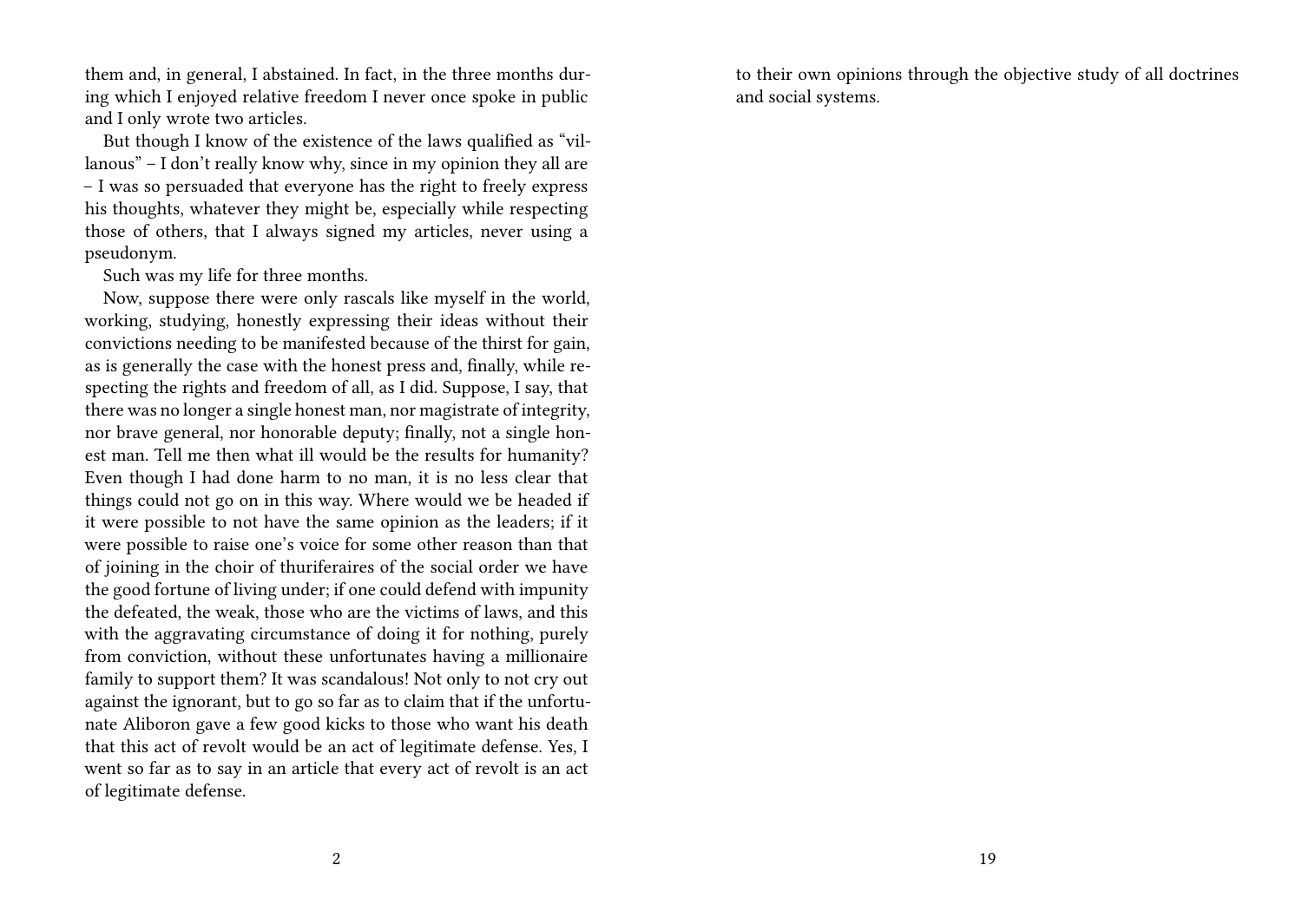them and, in general, I abstained. In fact, in the three months during which I enjoyed relative freedom I never once spoke in public and I only wrote two articles.

But though I know of the existence of the laws qualified as "villanous" – I don't really know why, since in my opinion they all are – I was so persuaded that everyone has the right to freely express his thoughts, whatever they might be, especially while respecting those of others, that I always signed my articles, never using a pseudonym.

Such was my life for three months.

Now, suppose there were only rascals like myself in the world, working, studying, honestly expressing their ideas without their convictions needing to be manifested because of the thirst for gain, as is generally the case with the honest press and, finally, while respecting the rights and freedom of all, as I did. Suppose, I say, that there was no longer a single honest man, nor magistrate of integrity, nor brave general, nor honorable deputy; finally, not a single honest man. Tell me then what ill would be the results for humanity? Even though I had done harm to no man, it is no less clear that things could not go on in this way. Where would we be headed if it were possible to not have the same opinion as the leaders; if it were possible to raise one's voice for some other reason than that of joining in the choir of thuriferaires of the social order we have the good fortune of living under; if one could defend with impunity the defeated, the weak, those who are the victims of laws, and this with the aggravating circumstance of doing it for nothing, purely from conviction, without these unfortunates having a millionaire family to support them? It was scandalous! Not only to not cry out against the ignorant, but to go so far as to claim that if the unfortunate Aliboron gave a few good kicks to those who want his death that this act of revolt would be an act of legitimate defense. Yes, I went so far as to say in an article that every act of revolt is an act of legitimate defense.

to their own opinions through the objective study of all doctrines and social systems.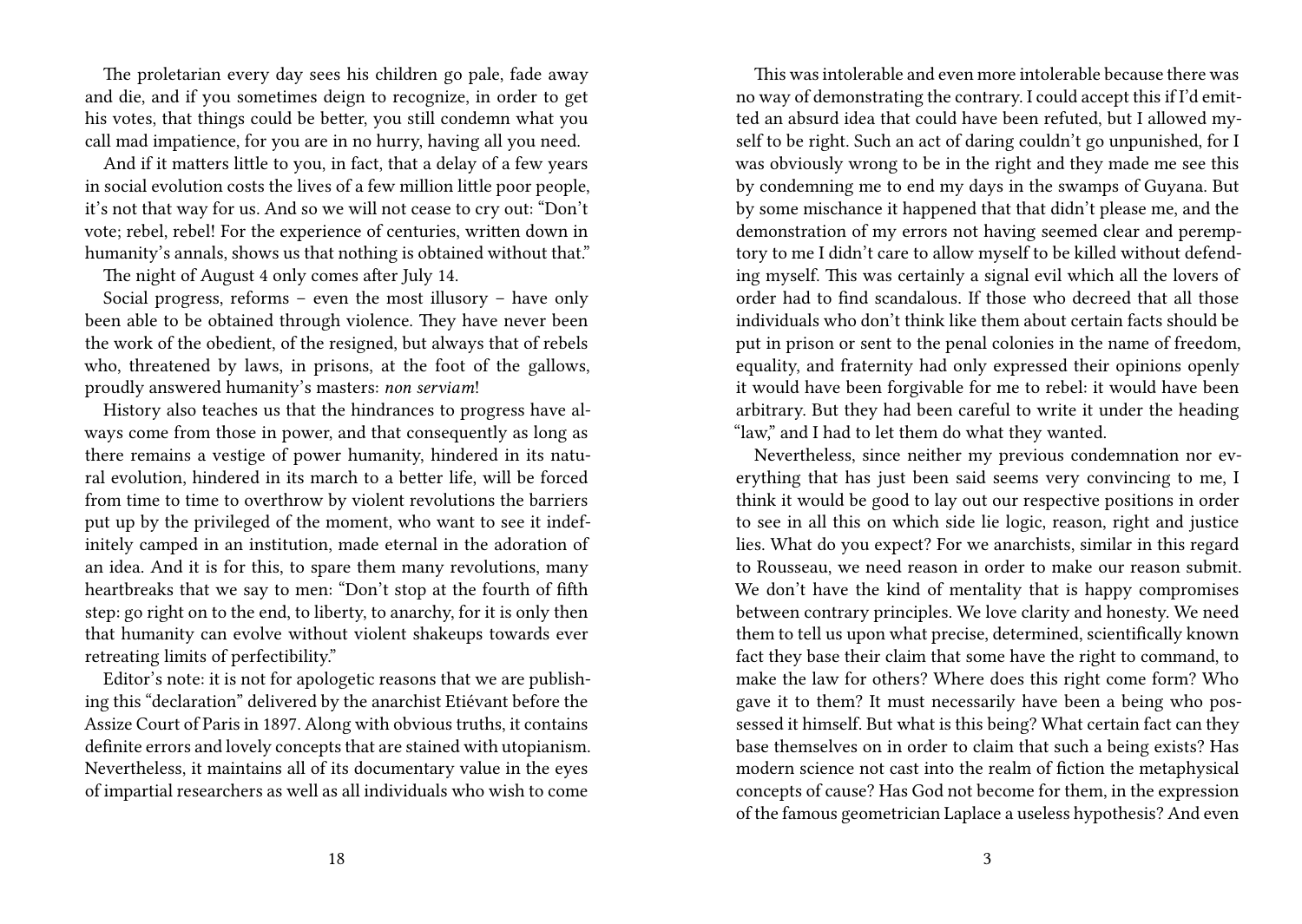The proletarian every day sees his children go pale, fade away and die, and if you sometimes deign to recognize, in order to get his votes, that things could be better, you still condemn what you call mad impatience, for you are in no hurry, having all you need.

And if it matters little to you, in fact, that a delay of a few years in social evolution costs the lives of a few million little poor people, it's not that way for us. And so we will not cease to cry out: "Don't vote; rebel, rebel! For the experience of centuries, written down in humanity's annals, shows us that nothing is obtained without that."

The night of August 4 only comes after July 14.

Social progress, reforms – even the most illusory – have only been able to be obtained through violence. They have never been the work of the obedient, of the resigned, but always that of rebels who, threatened by laws, in prisons, at the foot of the gallows, proudly answered humanity's masters: *non serviam*!

History also teaches us that the hindrances to progress have always come from those in power, and that consequently as long as there remains a vestige of power humanity, hindered in its natural evolution, hindered in its march to a better life, will be forced from time to time to overthrow by violent revolutions the barriers put up by the privileged of the moment, who want to see it indefinitely camped in an institution, made eternal in the adoration of an idea. And it is for this, to spare them many revolutions, many heartbreaks that we say to men: "Don't stop at the fourth of fifth step: go right on to the end, to liberty, to anarchy, for it is only then that humanity can evolve without violent shakeups towards ever retreating limits of perfectibility."

Editor's note: it is not for apologetic reasons that we are publishing this "declaration" delivered by the anarchist Etiévant before the Assize Court of Paris in 1897. Along with obvious truths, it contains definite errors and lovely concepts that are stained with utopianism. Nevertheless, it maintains all of its documentary value in the eyes of impartial researchers as well as all individuals who wish to come

This was intolerable and even more intolerable because there was no way of demonstrating the contrary. I could accept this if I'd emitted an absurd idea that could have been refuted, but I allowed myself to be right. Such an act of daring couldn't go unpunished, for I was obviously wrong to be in the right and they made me see this by condemning me to end my days in the swamps of Guyana. But by some mischance it happened that that didn't please me, and the demonstration of my errors not having seemed clear and peremptory to me I didn't care to allow myself to be killed without defending myself. This was certainly a signal evil which all the lovers of order had to find scandalous**.** If those who decreed that all those individuals who don't think like them about certain facts should be put in prison or sent to the penal colonies in the name of freedom, equality, and fraternity had only expressed their opinions openly it would have been forgivable for me to rebel: it would have been arbitrary. But they had been careful to write it under the heading "law," and I had to let them do what they wanted.

Nevertheless, since neither my previous condemnation nor everything that has just been said seems very convincing to me, I think it would be good to lay out our respective positions in order to see in all this on which side lie logic, reason, right and justice lies. What do you expect? For we anarchists, similar in this regard to Rousseau, we need reason in order to make our reason submit. We don't have the kind of mentality that is happy compromises between contrary principles. We love clarity and honesty. We need them to tell us upon what precise, determined, scientifically known fact they base their claim that some have the right to command, to make the law for others? Where does this right come form? Who gave it to them? It must necessarily have been a being who possessed it himself. But what is this being? What certain fact can they base themselves on in order to claim that such a being exists? Has modern science not cast into the realm of fiction the metaphysical concepts of cause? Has God not become for them, in the expression of the famous geometrician Laplace a useless hypothesis? And even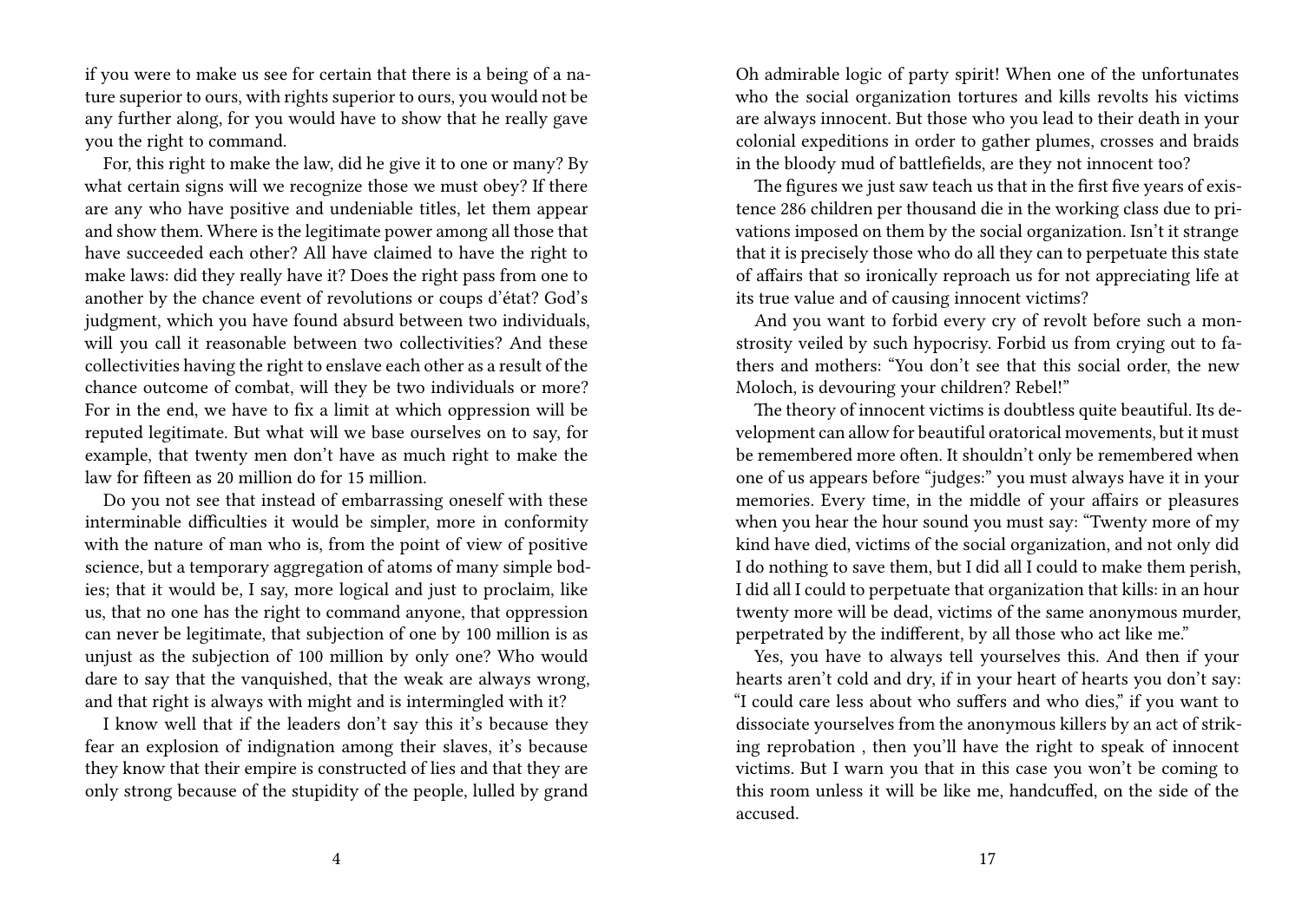if you were to make us see for certain that there is a being of a nature superior to ours, with rights superior to ours, you would not be any further along, for you would have to show that he really gave you the right to command.

For, this right to make the law, did he give it to one or many? By what certain signs will we recognize those we must obey? If there are any who have positive and undeniable titles, let them appear and show them. Where is the legitimate power among all those that have succeeded each other? All have claimed to have the right to make laws: did they really have it? Does the right pass from one to another by the chance event of revolutions or coups d'état? God's judgment, which you have found absurd between two individuals, will you call it reasonable between two collectivities? And these collectivities having the right to enslave each other as a result of the chance outcome of combat, will they be two individuals or more? For in the end, we have to fix a limit at which oppression will be reputed legitimate. But what will we base ourselves on to say, for example, that twenty men don't have as much right to make the law for fifteen as 20 million do for 15 million.

Do you not see that instead of embarrassing oneself with these interminable difficulties it would be simpler, more in conformity with the nature of man who is, from the point of view of positive science, but a temporary aggregation of atoms of many simple bodies; that it would be, I say, more logical and just to proclaim, like us, that no one has the right to command anyone, that oppression can never be legitimate, that subjection of one by 100 million is as unjust as the subjection of 100 million by only one? Who would dare to say that the vanquished, that the weak are always wrong, and that right is always with might and is intermingled with it?

I know well that if the leaders don't say this it's because they fear an explosion of indignation among their slaves, it's because they know that their empire is constructed of lies and that they are only strong because of the stupidity of the people, lulled by grand

Oh admirable logic of party spirit! When one of the unfortunates who the social organization tortures and kills revolts his victims are always innocent. But those who you lead to their death in your colonial expeditions in order to gather plumes, crosses and braids in the bloody mud of battlefields, are they not innocent too?

The figures we just saw teach us that in the first five years of existence 286 children per thousand die in the working class due to privations imposed on them by the social organization. Isn't it strange that it is precisely those who do all they can to perpetuate this state of affairs that so ironically reproach us for not appreciating life at its true value and of causing innocent victims?

And you want to forbid every cry of revolt before such a monstrosity veiled by such hypocrisy. Forbid us from crying out to fathers and mothers: "You don't see that this social order, the new Moloch, is devouring your children? Rebel!"

The theory of innocent victims is doubtless quite beautiful. Its development can allow for beautiful oratorical movements, but it must be remembered more often. It shouldn't only be remembered when one of us appears before "judges:" you must always have it in your memories. Every time, in the middle of your affairs or pleasures when you hear the hour sound you must say: "Twenty more of my kind have died, victims of the social organization, and not only did I do nothing to save them, but I did all I could to make them perish, I did all I could to perpetuate that organization that kills: in an hour twenty more will be dead, victims of the same anonymous murder, perpetrated by the indifferent, by all those who act like me."

Yes, you have to always tell yourselves this. And then if your hearts aren't cold and dry, if in your heart of hearts you don't say: "I could care less about who suffers and who dies," if you want to dissociate yourselves from the anonymous killers by an act of striking reprobation , then you'll have the right to speak of innocent victims. But I warn you that in this case you won't be coming to this room unless it will be like me, handcuffed, on the side of the accused.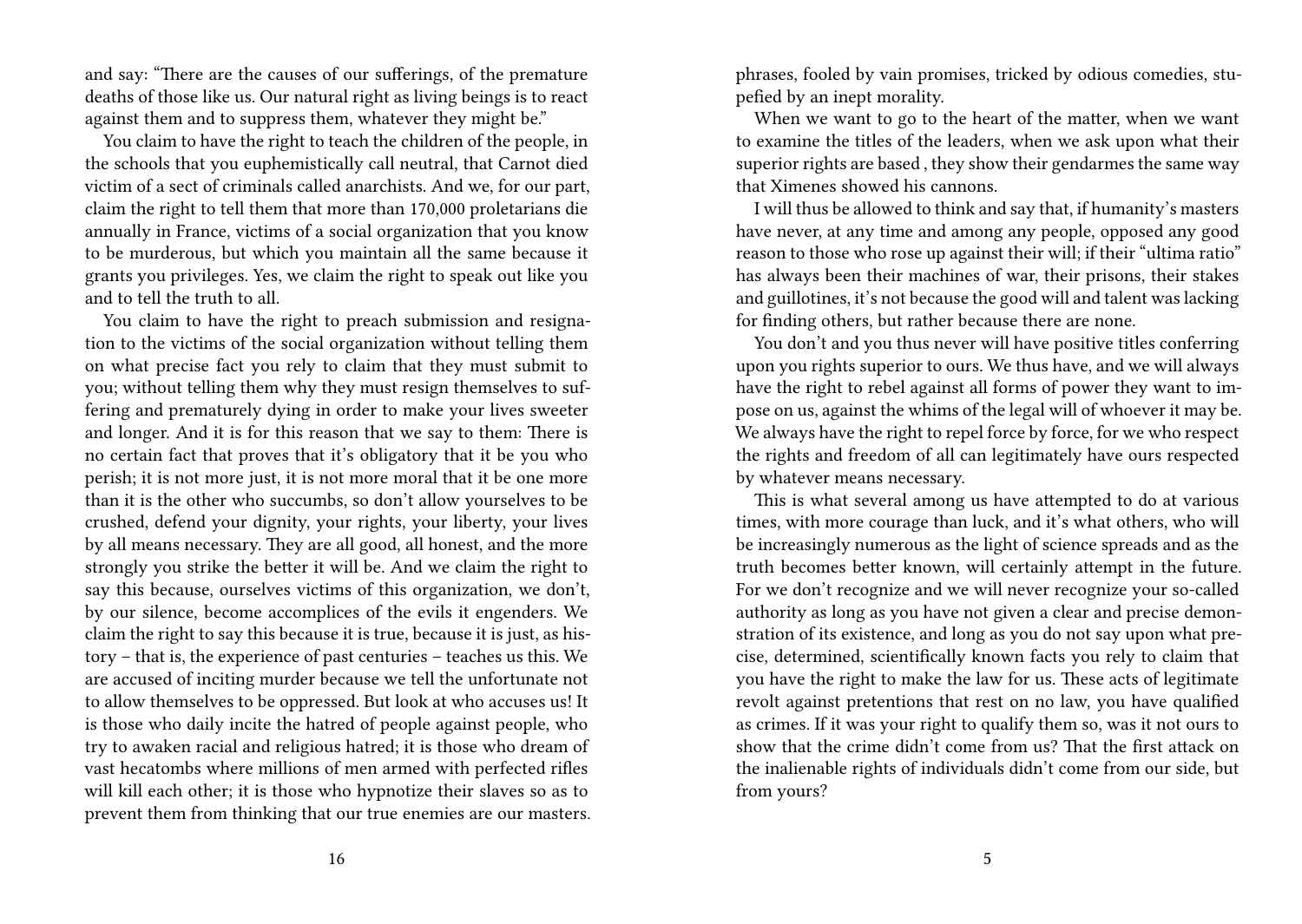and say: "There are the causes of our sufferings, of the premature deaths of those like us. Our natural right as living beings is to react against them and to suppress them, whatever they might be."

You claim to have the right to teach the children of the people, in the schools that you euphemistically call neutral, that Carnot died victim of a sect of criminals called anarchists. And we, for our part, claim the right to tell them that more than 170,000 proletarians die annually in France, victims of a social organization that you know to be murderous, but which you maintain all the same because it grants you privileges. Yes, we claim the right to speak out like you and to tell the truth to all.

You claim to have the right to preach submission and resignation to the victims of the social organization without telling them on what precise fact you rely to claim that they must submit to you; without telling them why they must resign themselves to suffering and prematurely dying in order to make your lives sweeter and longer. And it is for this reason that we say to them: There is no certain fact that proves that it's obligatory that it be you who perish; it is not more just, it is not more moral that it be one more than it is the other who succumbs, so don't allow yourselves to be crushed, defend your dignity, your rights, your liberty, your lives by all means necessary. They are all good, all honest, and the more strongly you strike the better it will be. And we claim the right to say this because, ourselves victims of this organization, we don't, by our silence, become accomplices of the evils it engenders. We claim the right to say this because it is true, because it is just, as history – that is, the experience of past centuries – teaches us this. We are accused of inciting murder because we tell the unfortunate not to allow themselves to be oppressed. But look at who accuses us! It is those who daily incite the hatred of people against people, who try to awaken racial and religious hatred; it is those who dream of vast hecatombs where millions of men armed with perfected rifles will kill each other; it is those who hypnotize their slaves so as to prevent them from thinking that our true enemies are our masters.

phrases, fooled by vain promises, tricked by odious comedies, stupefied by an inept morality.

When we want to go to the heart of the matter, when we want to examine the titles of the leaders, when we ask upon what their superior rights are based , they show their gendarmes the same way that Ximenes showed his cannons.

I will thus be allowed to think and say that, if humanity's masters have never, at any time and among any people, opposed any good reason to those who rose up against their will; if their "ultima ratio" has always been their machines of war, their prisons, their stakes and guillotines, it's not because the good will and talent was lacking for finding others, but rather because there are none.

You don't and you thus never will have positive titles conferring upon you rights superior to ours. We thus have, and we will always have the right to rebel against all forms of power they want to impose on us, against the whims of the legal will of whoever it may be. We always have the right to repel force by force, for we who respect the rights and freedom of all can legitimately have ours respected by whatever means necessary.

This is what several among us have attempted to do at various times, with more courage than luck, and it's what others, who will be increasingly numerous as the light of science spreads and as the truth becomes better known, will certainly attempt in the future. For we don't recognize and we will never recognize your so-called authority as long as you have not given a clear and precise demonstration of its existence, and long as you do not say upon what precise, determined, scientifically known facts you rely to claim that you have the right to make the law for us. These acts of legitimate revolt against pretentions that rest on no law, you have qualified as crimes. If it was your right to qualify them so, was it not ours to show that the crime didn't come from us? That the first attack on the inalienable rights of individuals didn't come from our side, but from yours?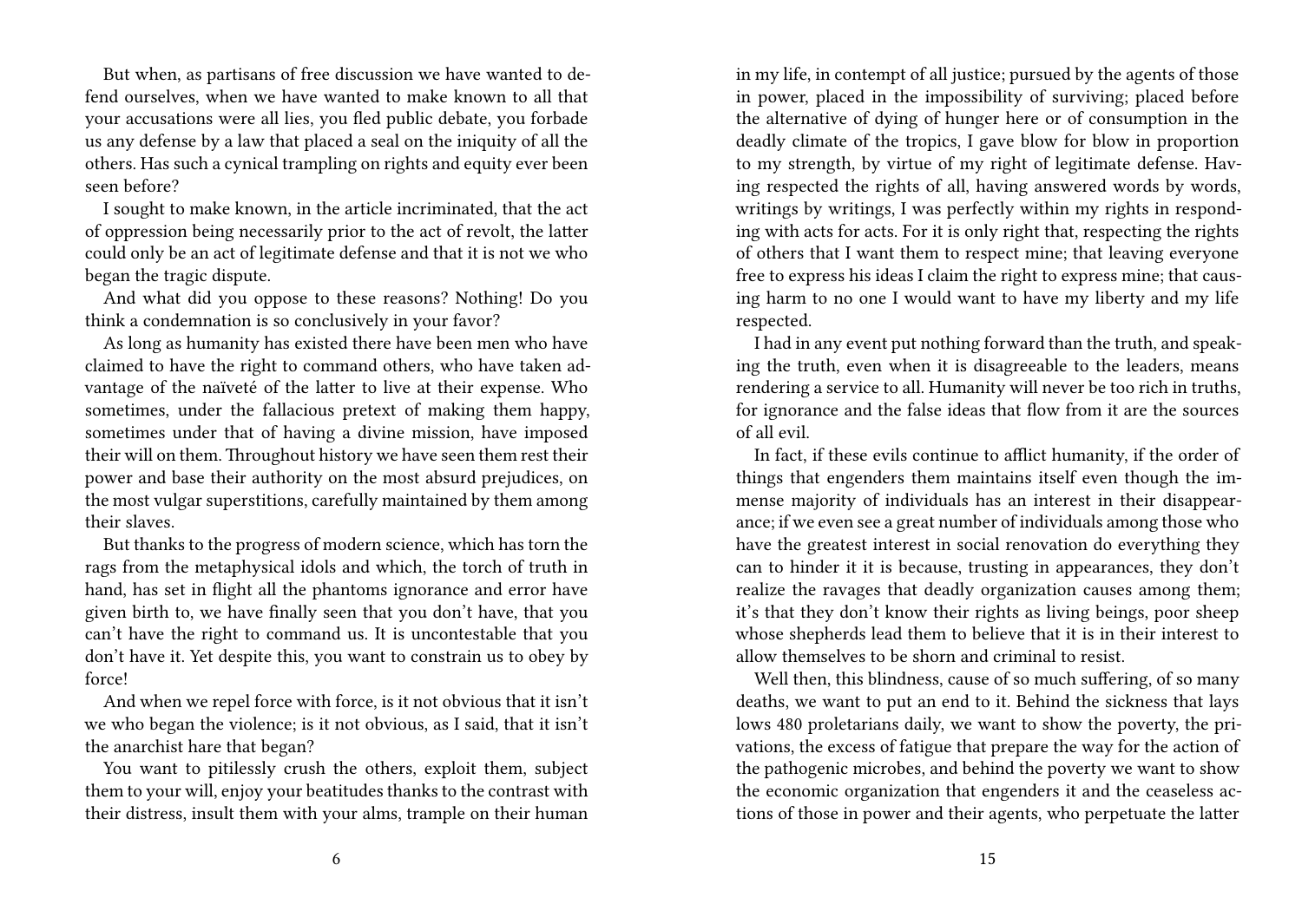But when, as partisans of free discussion we have wanted to defend ourselves, when we have wanted to make known to all that your accusations were all lies, you fled public debate, you forbade us any defense by a law that placed a seal on the iniquity of all the others. Has such a cynical trampling on rights and equity ever been seen before?

I sought to make known, in the article incriminated, that the act of oppression being necessarily prior to the act of revolt, the latter could only be an act of legitimate defense and that it is not we who began the tragic dispute.

And what did you oppose to these reasons? Nothing! Do you think a condemnation is so conclusively in your favor?

As long as humanity has existed there have been men who have claimed to have the right to command others, who have taken advantage of the naïveté of the latter to live at their expense. Who sometimes, under the fallacious pretext of making them happy, sometimes under that of having a divine mission, have imposed their will on them. Throughout history we have seen them rest their power and base their authority on the most absurd prejudices, on the most vulgar superstitions, carefully maintained by them among their slaves.

But thanks to the progress of modern science, which has torn the rags from the metaphysical idols and which, the torch of truth in hand, has set in flight all the phantoms ignorance and error have given birth to, we have finally seen that you don't have, that you can't have the right to command us. It is uncontestable that you don't have it. Yet despite this, you want to constrain us to obey by force!

And when we repel force with force, is it not obvious that it isn't we who began the violence; is it not obvious, as I said, that it isn't the anarchist hare that began?

You want to pitilessly crush the others, exploit them, subject them to your will, enjoy your beatitudes thanks to the contrast with their distress, insult them with your alms, trample on their human

in my life, in contempt of all justice; pursued by the agents of those in power, placed in the impossibility of surviving; placed before the alternative of dying of hunger here or of consumption in the deadly climate of the tropics, I gave blow for blow in proportion to my strength, by virtue of my right of legitimate defense. Having respected the rights of all, having answered words by words, writings by writings, I was perfectly within my rights in responding with acts for acts. For it is only right that, respecting the rights of others that I want them to respect mine; that leaving everyone free to express his ideas I claim the right to express mine; that causing harm to no one I would want to have my liberty and my life respected.

I had in any event put nothing forward than the truth, and speaking the truth, even when it is disagreeable to the leaders, means rendering a service to all. Humanity will never be too rich in truths, for ignorance and the false ideas that flow from it are the sources of all evil.

In fact, if these evils continue to afflict humanity, if the order of things that engenders them maintains itself even though the immense majority of individuals has an interest in their disappearance; if we even see a great number of individuals among those who have the greatest interest in social renovation do everything they can to hinder it it is because, trusting in appearances, they don't realize the ravages that deadly organization causes among them; it's that they don't know their rights as living beings, poor sheep whose shepherds lead them to believe that it is in their interest to allow themselves to be shorn and criminal to resist.

Well then, this blindness, cause of so much suffering, of so many deaths, we want to put an end to it. Behind the sickness that lays lows 480 proletarians daily, we want to show the poverty, the privations, the excess of fatigue that prepare the way for the action of the pathogenic microbes, and behind the poverty we want to show the economic organization that engenders it and the ceaseless actions of those in power and their agents, who perpetuate the latter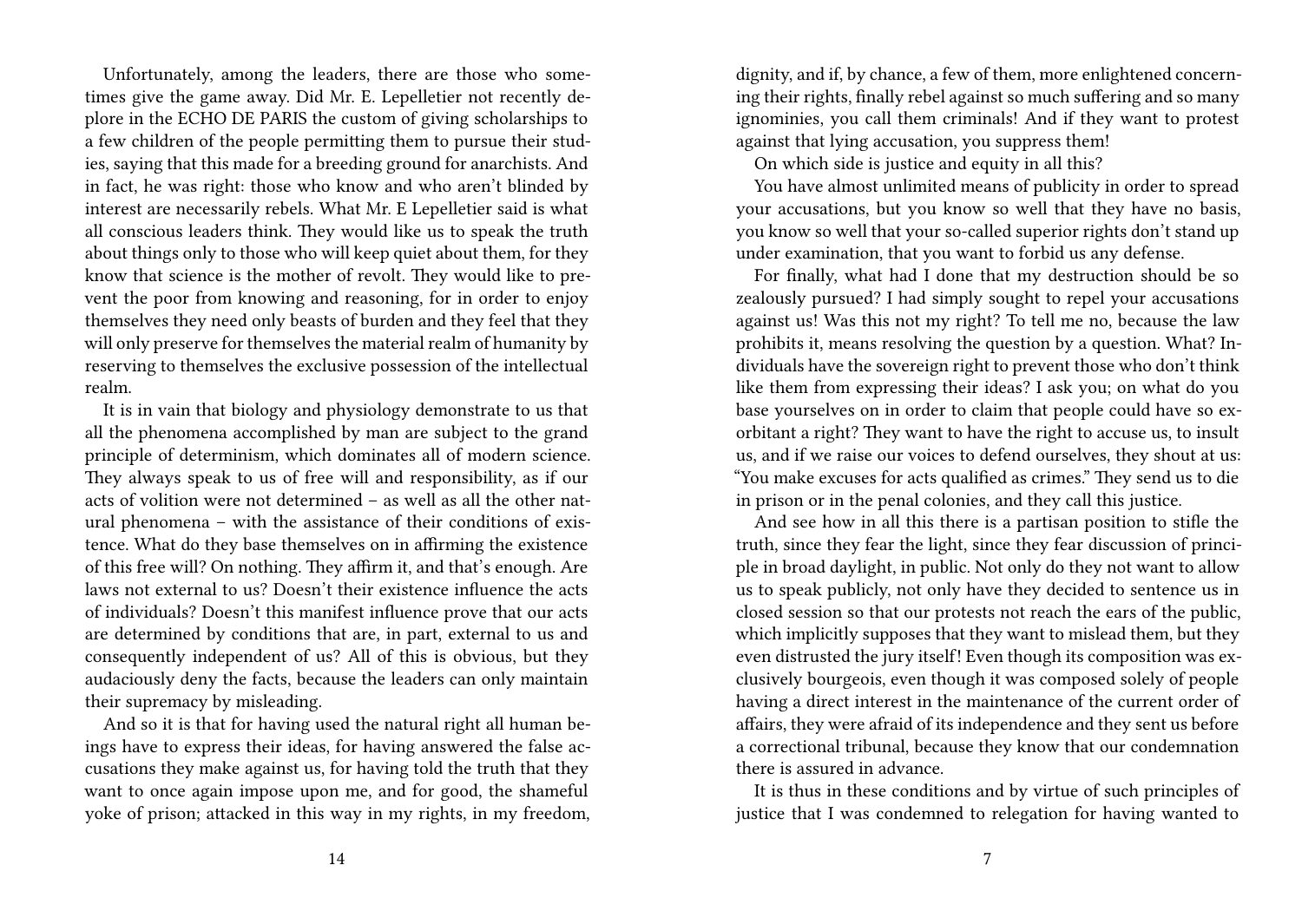Unfortunately, among the leaders, there are those who sometimes give the game away. Did Mr. E. Lepelletier not recently deplore in the ECHO DE PARIS the custom of giving scholarships to a few children of the people permitting them to pursue their studies, saying that this made for a breeding ground for anarchists. And in fact, he was right: those who know and who aren't blinded by interest are necessarily rebels. What Mr. E Lepelletier said is what all conscious leaders think. They would like us to speak the truth about things only to those who will keep quiet about them, for they know that science is the mother of revolt. They would like to prevent the poor from knowing and reasoning, for in order to enjoy themselves they need only beasts of burden and they feel that they will only preserve for themselves the material realm of humanity by reserving to themselves the exclusive possession of the intellectual realm.

It is in vain that biology and physiology demonstrate to us that all the phenomena accomplished by man are subject to the grand principle of determinism, which dominates all of modern science. They always speak to us of free will and responsibility, as if our acts of volition were not determined – as well as all the other natural phenomena – with the assistance of their conditions of existence. What do they base themselves on in affirming the existence of this free will? On nothing. They affirm it, and that's enough. Are laws not external to us? Doesn't their existence influence the acts of individuals? Doesn't this manifest influence prove that our acts are determined by conditions that are, in part, external to us and consequently independent of us? All of this is obvious, but they audaciously deny the facts, because the leaders can only maintain their supremacy by misleading.

And so it is that for having used the natural right all human beings have to express their ideas, for having answered the false accusations they make against us, for having told the truth that they want to once again impose upon me, and for good, the shameful yoke of prison; attacked in this way in my rights, in my freedom,

dignity, and if, by chance, a few of them, more enlightened concerning their rights, finally rebel against so much suffering and so many ignominies, you call them criminals! And if they want to protest against that lying accusation, you suppress them!

On which side is justice and equity in all this?

You have almost unlimited means of publicity in order to spread your accusations, but you know so well that they have no basis, you know so well that your so-called superior rights don't stand up under examination, that you want to forbid us any defense.

For finally, what had I done that my destruction should be so zealously pursued? I had simply sought to repel your accusations against us! Was this not my right? To tell me no, because the law prohibits it, means resolving the question by a question. What? Individuals have the sovereign right to prevent those who don't think like them from expressing their ideas? I ask you; on what do you base yourselves on in order to claim that people could have so exorbitant a right? They want to have the right to accuse us, to insult us, and if we raise our voices to defend ourselves, they shout at us: "You make excuses for acts qualified as crimes." They send us to die in prison or in the penal colonies, and they call this justice.

And see how in all this there is a partisan position to stifle the truth, since they fear the light, since they fear discussion of principle in broad daylight, in public. Not only do they not want to allow us to speak publicly, not only have they decided to sentence us in closed session so that our protests not reach the ears of the public, which implicitly supposes that they want to mislead them, but they even distrusted the jury itself! Even though its composition was exclusively bourgeois, even though it was composed solely of people having a direct interest in the maintenance of the current order of affairs, they were afraid of its independence and they sent us before a correctional tribunal, because they know that our condemnation there is assured in advance.

It is thus in these conditions and by virtue of such principles of justice that I was condemned to relegation for having wanted to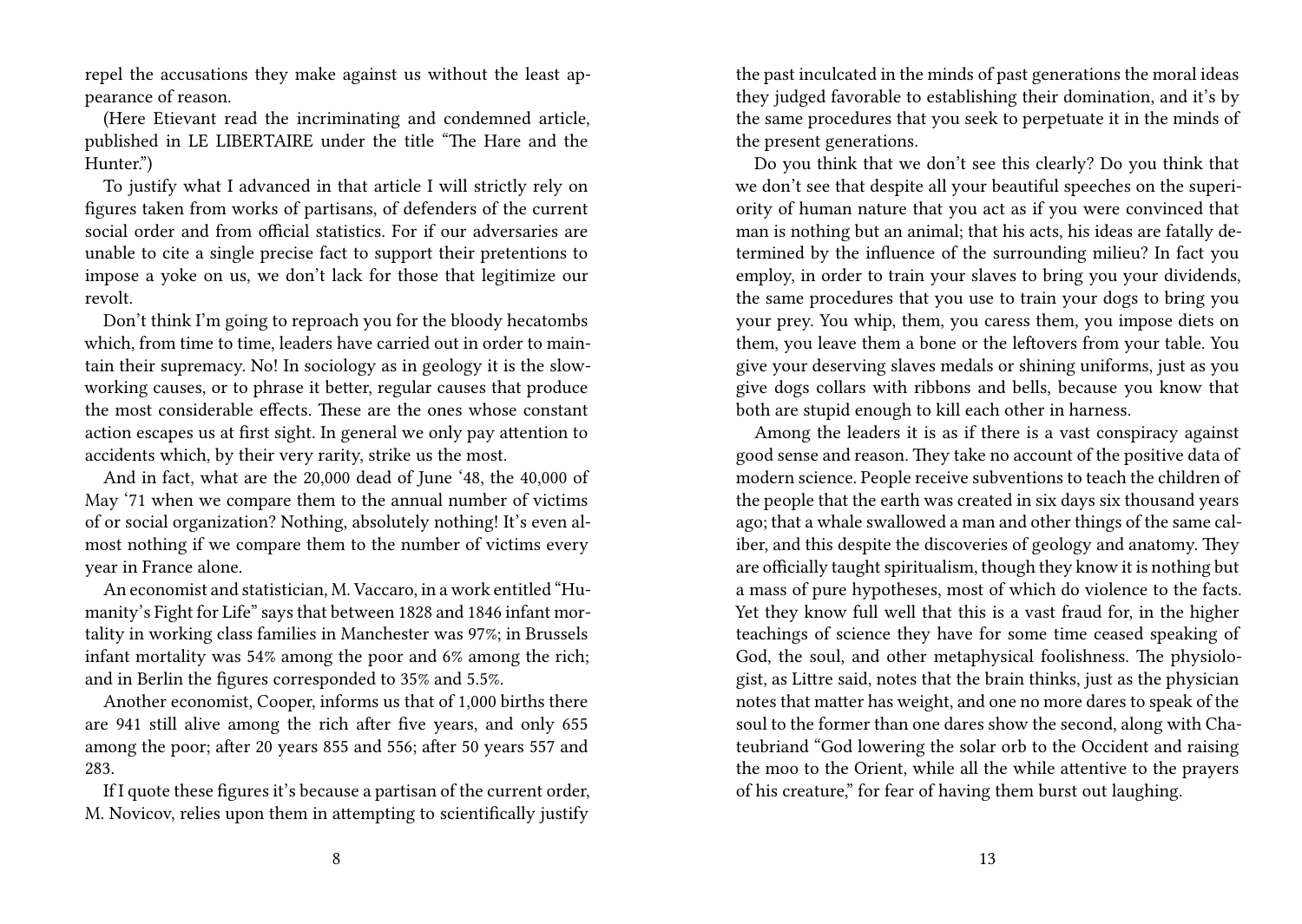repel the accusations they make against us without the least appearance of reason.

(Here Etievant read the incriminating and condemned article, published in LE LIBERTAIRE under the title "The Hare and the Hunter.")

To justify what I advanced in that article I will strictly rely on figures taken from works of partisans, of defenders of the current social order and from official statistics. For if our adversaries are unable to cite a single precise fact to support their pretentions to impose a yoke on us, we don't lack for those that legitimize our revolt.

Don't think I'm going to reproach you for the bloody hecatombs which, from time to time, leaders have carried out in order to maintain their supremacy. No! In sociology as in geology it is the slowworking causes, or to phrase it better, regular causes that produce the most considerable effects. These are the ones whose constant action escapes us at first sight. In general we only pay attention to accidents which, by their very rarity, strike us the most.

And in fact, what are the 20,000 dead of June '48, the 40,000 of May '71 when we compare them to the annual number of victims of or social organization? Nothing, absolutely nothing! It's even almost nothing if we compare them to the number of victims every year in France alone.

An economist and statistician, M. Vaccaro, in a work entitled "Humanity's Fight for Life" says that between 1828 and 1846 infant mortality in working class families in Manchester was 97%; in Brussels infant mortality was 54% among the poor and 6% among the rich; and in Berlin the figures corresponded to 35% and 5.5%.

Another economist, Cooper, informs us that of 1,000 births there are 941 still alive among the rich after five years, and only 655 among the poor; after 20 years 855 and 556; after 50 years 557 and 283.

If I quote these figures it's because a partisan of the current order, M. Novicov, relies upon them in attempting to scientifically justify the past inculcated in the minds of past generations the moral ideas they judged favorable to establishing their domination, and it's by the same procedures that you seek to perpetuate it in the minds of the present generations.

Do you think that we don't see this clearly? Do you think that we don't see that despite all your beautiful speeches on the superiority of human nature that you act as if you were convinced that man is nothing but an animal; that his acts, his ideas are fatally determined by the influence of the surrounding milieu? In fact you employ, in order to train your slaves to bring you your dividends, the same procedures that you use to train your dogs to bring you your prey. You whip, them, you caress them, you impose diets on them, you leave them a bone or the leftovers from your table. You give your deserving slaves medals or shining uniforms, just as you give dogs collars with ribbons and bells, because you know that both are stupid enough to kill each other in harness.

Among the leaders it is as if there is a vast conspiracy against good sense and reason. They take no account of the positive data of modern science. People receive subventions to teach the children of the people that the earth was created in six days six thousand years ago; that a whale swallowed a man and other things of the same caliber, and this despite the discoveries of geology and anatomy. They are officially taught spiritualism, though they know it is nothing but a mass of pure hypotheses, most of which do violence to the facts. Yet they know full well that this is a vast fraud for, in the higher teachings of science they have for some time ceased speaking of God, the soul, and other metaphysical foolishness. The physiologist, as Littre said, notes that the brain thinks, just as the physician notes that matter has weight, and one no more dares to speak of the soul to the former than one dares show the second, along with Chateubriand "God lowering the solar orb to the Occident and raising the moo to the Orient, while all the while attentive to the prayers of his creature," for fear of having them burst out laughing.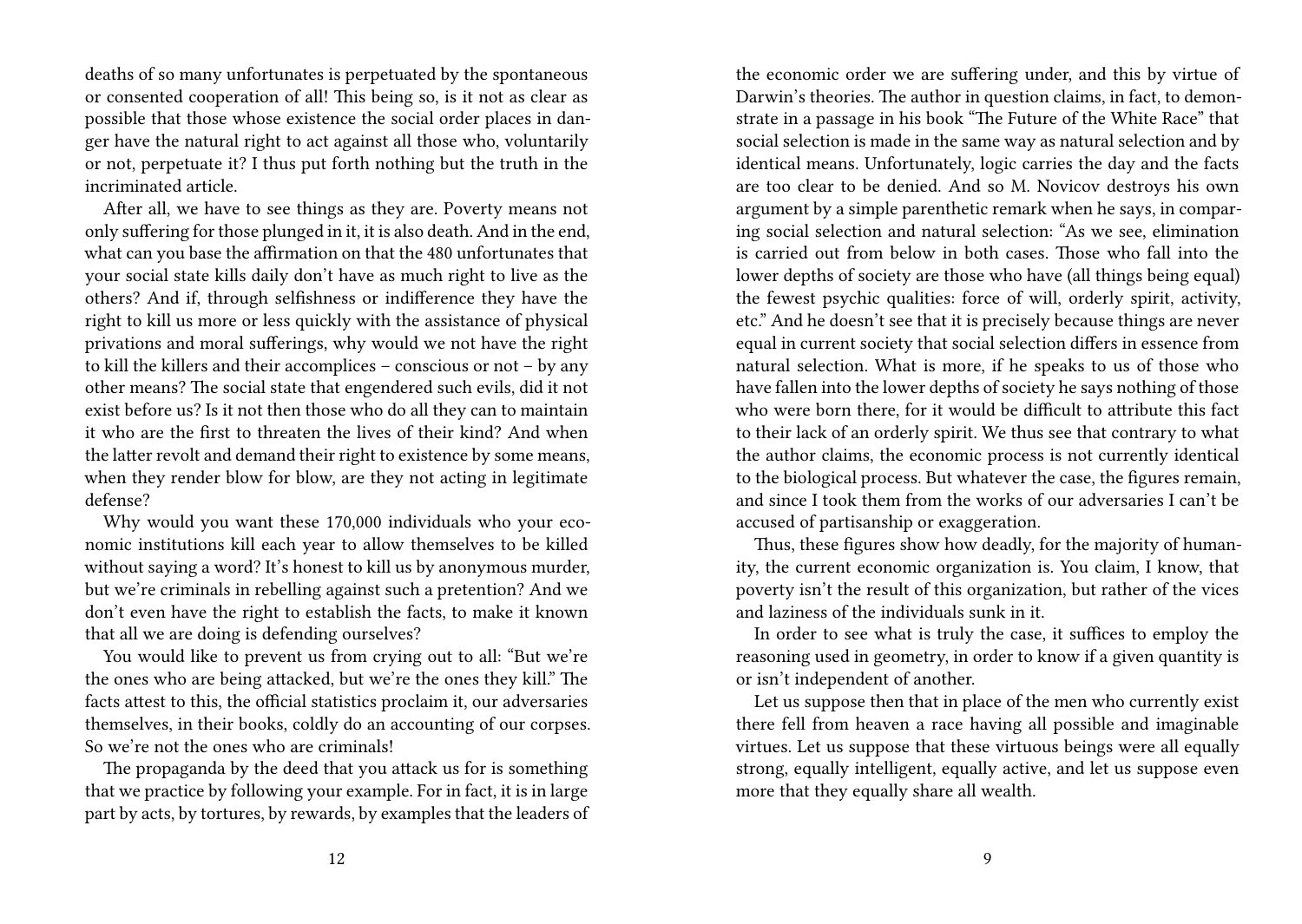deaths of so many unfortunates is perpetuated by the spontaneous or consented cooperation of all! This being so, is it not as clear as possible that those whose existence the social order places in danger have the natural right to act against all those who, voluntarily or not, perpetuate it? I thus put forth nothing but the truth in the incriminated article.

After all, we have to see things as they are. Poverty means not only suffering for those plunged in it, it is also death. And in the end, what can you base the affirmation on that the 480 unfortunates that your social state kills daily don't have as much right to live as the others? And if, through selfishness or indifference they have the right to kill us more or less quickly with the assistance of physical privations and moral sufferings, why would we not have the right to kill the killers and their accomplices – conscious or not – by any other means? The social state that engendered such evils, did it not exist before us? Is it not then those who do all they can to maintain it who are the first to threaten the lives of their kind? And when the latter revolt and demand their right to existence by some means, when they render blow for blow, are they not acting in legitimate defense?

Why would you want these 170,000 individuals who your economic institutions kill each year to allow themselves to be killed without saying a word? It's honest to kill us by anonymous murder, but we're criminals in rebelling against such a pretention? And we don't even have the right to establish the facts, to make it known that all we are doing is defending ourselves?

You would like to prevent us from crying out to all: "But we're the ones who are being attacked, but we're the ones they kill." The facts attest to this, the official statistics proclaim it, our adversaries themselves, in their books, coldly do an accounting of our corpses. So we're not the ones who are criminals!

The propaganda by the deed that you attack us for is something that we practice by following your example. For in fact, it is in large part by acts, by tortures, by rewards, by examples that the leaders of

the economic order we are suffering under, and this by virtue of Darwin's theories. The author in question claims, in fact, to demonstrate in a passage in his book "The Future of the White Race" that social selection is made in the same way as natural selection and by identical means. Unfortunately, logic carries the day and the facts are too clear to be denied. And so M. Novicov destroys his own argument by a simple parenthetic remark when he says, in comparing social selection and natural selection: "As we see, elimination is carried out from below in both cases. Those who fall into the lower depths of society are those who have (all things being equal) the fewest psychic qualities: force of will, orderly spirit, activity, etc." And he doesn't see that it is precisely because things are never equal in current society that social selection differs in essence from natural selection. What is more, if he speaks to us of those who have fallen into the lower depths of society he says nothing of those who were born there, for it would be difficult to attribute this fact to their lack of an orderly spirit. We thus see that contrary to what the author claims, the economic process is not currently identical to the biological process. But whatever the case, the figures remain, and since I took them from the works of our adversaries I can't be accused of partisanship or exaggeration.

Thus, these figures show how deadly, for the majority of humanity, the current economic organization is. You claim, I know, that poverty isn't the result of this organization, but rather of the vices and laziness of the individuals sunk in it.

In order to see what is truly the case, it suffices to employ the reasoning used in geometry, in order to know if a given quantity is or isn't independent of another.

Let us suppose then that in place of the men who currently exist there fell from heaven a race having all possible and imaginable virtues. Let us suppose that these virtuous beings were all equally strong, equally intelligent, equally active, and let us suppose even more that they equally share all wealth.